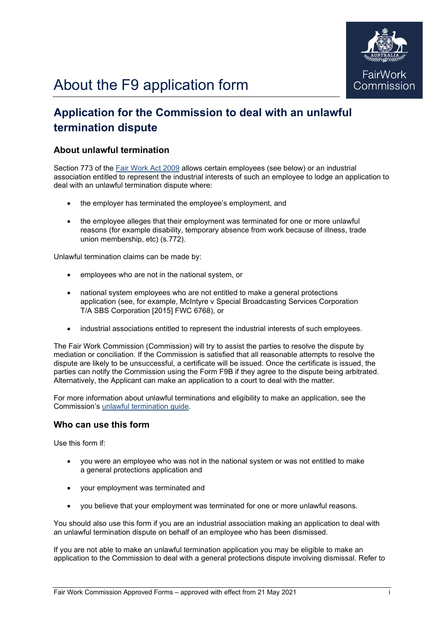

# **Application for the Commission to deal with an unlawful termination dispute**

## **About unlawful termination**

Section 773 of the [Fair Work Act 2009](https://www.legislation.gov.au/Series/C2009A00028) allows certain employees (see below) or an industrial association entitled to represent the industrial interests of such an employee to lodge an application to deal with an unlawful termination dispute where:

- the employer has terminated the employee's employment, and
- the employee alleges that their employment was terminated for one or more unlawful reasons (for example disability, temporary absence from work because of illness, trade union membership, etc) (s.772).

Unlawful termination claims can be made by:

- employees who are not in the national system, or
- national system employees who are not entitled to make a general protections application (see, for example, McIntyre v Special Broadcasting Services Corporation T/A SBS Corporation [2015] FWC 6768), or
- industrial associations entitled to represent the industrial interests of such employees.

The Fair Work Commission (Commission) will try to assist the parties to resolve the dispute by mediation or conciliation. If the Commission is satisfied that all reasonable attempts to resolve the dispute are likely to be unsuccessful, a certificate will be issued. Once the certificate is issued, the parties can notify the Commission using the Form F9B if they agree to the dispute being arbitrated. Alternatively, the Applicant can make an application to a court to deal with the matter.

For more information about unlawful terminations and eligibility to make an application, see the Commission's [unlawful termination guide.](https://www.fwc.gov.au/termination-employment/unlawful-termination)

## **Who can use this form**

Use this form if:

- you were an employee who was not in the national system or was not entitled to make a general protections application and
- your employment was terminated and
- you believe that your employment was terminated for one or more unlawful reasons.

You should also use this form if you are an industrial association making an application to deal with an unlawful termination dispute on behalf of an employee who has been dismissed.

If you are not able to make an unlawful termination application you may be eligible to make an application to the Commission to deal with a general protections dispute involving dismissal. Refer to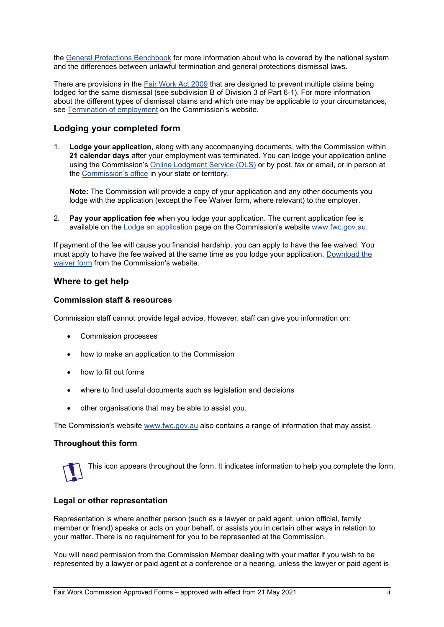the [General Protections Benchbook](https://www.fwc.gov.au/resources/benchbooks/general-protections-benchbook) for more information about who is covered by the national system and the differences between unlawful termination and general protections dismissal laws.

There are provisions in the [Fair Work Act 2009](https://www.legislation.gov.au/Series/C2009A00028) that are designed to prevent multiple claims being lodged for the same dismissal (see subdivision B of Division 3 of Part 6-1). For more information about the different types of dismissal claims and which one may be applicable to your circumstances, see [Termination of employment](https://www.fwc.gov.au/termination-of-employment) on the Commission's website.

## **Lodging your completed form**

1. **Lodge your application**, along with any accompanying documents, with the Commission within **21 calendar days** after your employment was terminated. You can lodge your application online using the Commission's [Online Lodgment Service \(OLS\)](https://www.fwc.gov.au/disputes-at-work/how-the-commission-works/lodge-application/online-lodgment-service) or by post, fax or email, or in person at the [Commission's office](https://www.fwc.gov.au/disputes-at-work/how-the-commission-works/commission-offices) in your state or territory.

**Note:** The Commission will provide a copy of your application and any other documents you lodge with the application (except the Fee Waiver form, where relevant) to the employer.

2. **Pay your application fee** when you lodge your application. The current application fee is available on the [Lodge an application](https://www.fwc.gov.au/disputes-at-work/how-the-commission-works/lodge-an-application) page on the Commission's website [www.fwc.gov.au.](http://www.fwc.gov.au/)

If payment of the fee will cause you financial hardship, you can apply to have the fee waived. You must apply to have the fee waived at the same time as you lodge your application. [Download the](https://www.fwc.gov.au/content/rules-form/waiver-application-fee)  [waiver form](https://www.fwc.gov.au/content/rules-form/waiver-application-fee) from the Commission's website.

## **Where to get help**

#### **Commission staff & resources**

Commission staff cannot provide legal advice. However, staff can give you information on:

- Commission processes
- how to make an application to the Commission
- how to fill out forms
- where to find useful documents such as legislation and decisions
- other organisations that may be able to assist you.

The Commission's website [www.fwc.gov.au](https://www.fwc.gov.au/) also contains a range of information that may assist.

#### **Throughout this form**



This icon appears throughout the form. It indicates information to help you complete the form.

#### **Legal or other representation**

Representation is where another person (such as a lawyer or paid agent, union official, family member or friend) speaks or acts on your behalf, or assists you in certain other ways in relation to your matter. There is no requirement for you to be represented at the Commission.

You will need permission from the Commission Member dealing with your matter if you wish to be represented by a lawyer or paid agent at a conference or a hearing, unless the lawyer or paid agent is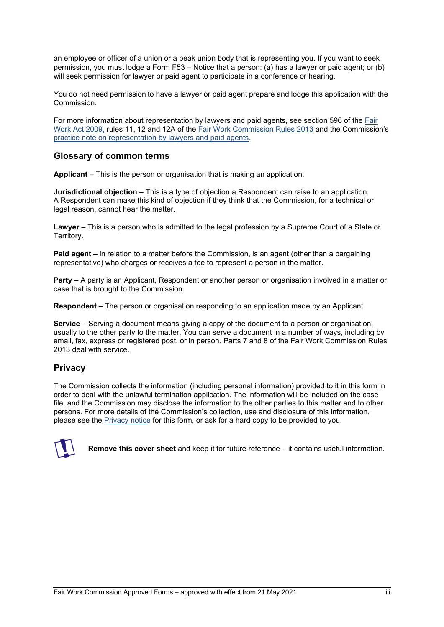an employee or officer of a union or a peak union body that is representing you. If you want to seek permission, you must lodge a Form F53 – Notice that a person: (a) has a lawyer or paid agent; or (b) will seek permission for lawyer or paid agent to participate in a conference or hearing.

You do not need permission to have a lawyer or paid agent prepare and lodge this application with the Commission.

For more information about representation by lawyers and paid agents, see section 596 of the [Fair](https://www.legislation.gov.au/Series/C2009A00028)  [Work Act](https://www.legislation.gov.au/Series/C2009A00028) 2009, rules 11, 12 and 12A of the [Fair Work Commission Rules 2013](https://www.legislation.gov.au/Series/F2013L02054) and the Commission's [practice note on representation by lawyers and paid agents.](https://www.fwc.gov.au/resources/practice-notes/lawyers-and-paid-agents)

## **Glossary of common terms**

**Applicant** – This is the person or organisation that is making an application.

**Jurisdictional objection** – This is a type of objection a Respondent can raise to an application. A Respondent can make this kind of objection if they think that the Commission, for a technical or legal reason, cannot hear the matter.

**Lawyer** – This is a person who is admitted to the legal profession by a Supreme Court of a State or Territory.

**Paid agent** – in relation to a matter before the Commission, is an agent (other than a bargaining representative) who charges or receives a fee to represent a person in the matter.

**Party** – A party is an Applicant, Respondent or another person or organisation involved in a matter or case that is brought to the Commission.

**Respondent** – The person or organisation responding to an application made by an Applicant.

**Service** – Serving a document means giving a copy of the document to a person or organisation, usually to the other party to the matter. You can serve a document in a number of ways, including by email, fax, express or registered post, or in person. Parts 7 and 8 of the Fair Work Commission Rules 2013 deal with service.

## **Privacy**

The Commission collects the information (including personal information) provided to it in this form in order to deal with the unlawful termination application. The information will be included on the case file, and the Commission may disclose the information to the other parties to this matter and to other persons. For more details of the Commission's collection, use and disclosure of this information, please see the [Privacy notice](https://www.fwc.gov.au/documents/documents/forms/form_f9-privacy.pdf) for this form, or ask for a hard copy to be provided to you.



**Remove this cover sheet** and keep it for future reference – it contains useful information.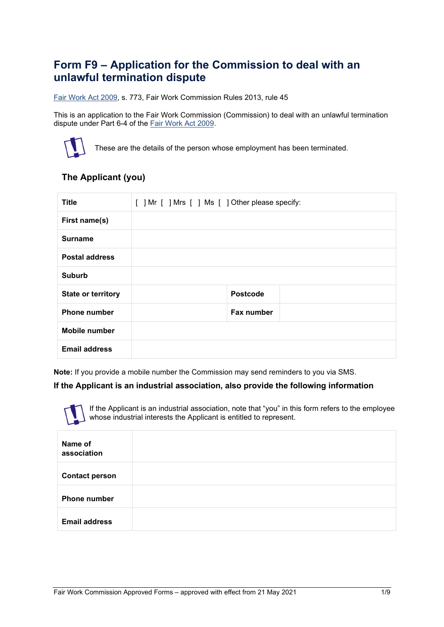# **Form F9 – Application for the Commission to deal with an unlawful termination dispute**

[Fair Work Act 2009,](https://www.legislation.gov.au/Series/C2009A00028) s. 773, Fair Work Commission Rules 2013, rule 45

This is an application to the Fair Work Commission (Commission) to deal with an unlawful termination dispute under Part 6-4 of the [Fair Work Act 2009.](https://www.legislation.gov.au/Series/C2009A00028)



These are the details of the person whose employment has been terminated.

# **The Applicant (you)**

| <b>Title</b>              | [ ] Mr [ ] Mrs [ ] Ms [ ] Other please specify: |  |  |
|---------------------------|-------------------------------------------------|--|--|
| First name(s)             |                                                 |  |  |
| <b>Surname</b>            |                                                 |  |  |
| <b>Postal address</b>     |                                                 |  |  |
| <b>Suburb</b>             |                                                 |  |  |
| <b>State or territory</b> | <b>Postcode</b>                                 |  |  |
| <b>Phone number</b>       | Fax number                                      |  |  |
| <b>Mobile number</b>      |                                                 |  |  |
| <b>Email address</b>      |                                                 |  |  |

**Note:** If you provide a mobile number the Commission may send reminders to you via SMS.

#### **If the Applicant is an industrial association, also provide the following information**

If the Applicant is an industrial association, note that "you" in this form refers to the employee whose industrial interests the Applicant is entitled to represent.

| Name of<br>association |  |
|------------------------|--|
| <b>Contact person</b>  |  |
| <b>Phone number</b>    |  |
| <b>Email address</b>   |  |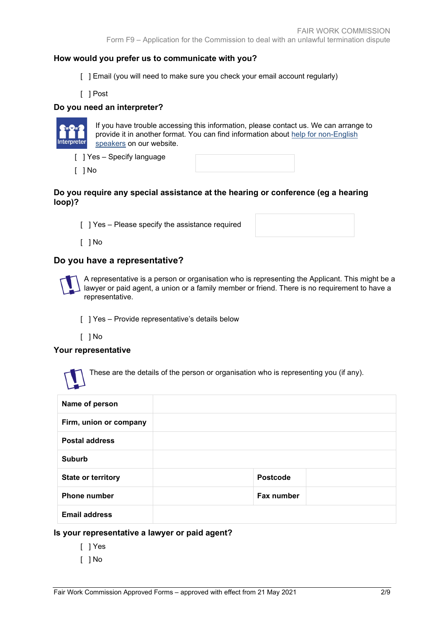## **How would you prefer us to communicate with you?**

- [ ] Email (you will need to make sure you check your email account regularly)
- [ ] Post

## **Do you need an interpreter?**



If you have trouble accessing this information, please contact us. We can arrange to provide it in another format. You can find information about [help for non-English](https://www.fwc.gov.au/about-us/contact-us/accessibility)  [speakers](https://www.fwc.gov.au/about-us/contact-us/accessibility) on our website.

- [ ] Yes Specify language
- [ ] No

#### **Do you require any special assistance at the hearing or conference (eg a hearing loop)?**

[ ] Yes - Please specify the assistance required

[ ] No

# **Do you have a representative?**



A representative is a person or organisation who is representing the Applicant. This might be a lawyer or paid agent, a union or a family member or friend. There is no requirement to have a representative.

[ ] Yes - Provide representative's details below

[ ] No

## **Your representative**



These are the details of the person or organisation who is representing you (if any).

| Name of person            |                   |  |
|---------------------------|-------------------|--|
| Firm, union or company    |                   |  |
| <b>Postal address</b>     |                   |  |
| <b>Suburb</b>             |                   |  |
| <b>State or territory</b> | <b>Postcode</b>   |  |
| <b>Phone number</b>       | <b>Fax number</b> |  |
| <b>Email address</b>      |                   |  |

## **Is your representative a lawyer or paid agent?**

- [ ] Yes
- [ ] No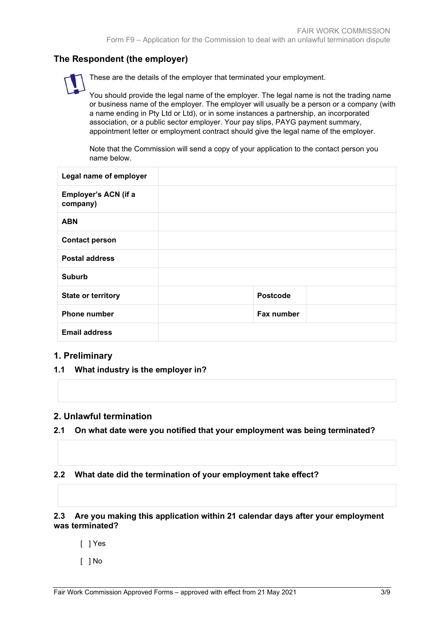# **The Respondent (the employer)**

These are the details of the employer that terminated your employment.

You should provide the legal name of the employer. The legal name is not the trading name or business name of the employer. The employer will usually be a person or a company (with a name ending in Pty Ltd or Ltd), or in some instances a partnership, an incorporated association, or a public sector employer. Your pay slips, PAYG payment summary, appointment letter or employment contract should give the legal name of the employer.

Note that the Commission will send a copy of your application to the contact person you name below.

| Legal name of employer           |                 |  |
|----------------------------------|-----------------|--|
| Employer's ACN (if a<br>company) |                 |  |
| <b>ABN</b>                       |                 |  |
| <b>Contact person</b>            |                 |  |
| <b>Postal address</b>            |                 |  |
| <b>Suburb</b>                    |                 |  |
| <b>State or territory</b>        | <b>Postcode</b> |  |
| <b>Phone number</b>              | Fax number      |  |
| <b>Email address</b>             |                 |  |

## **1. Preliminary**

**1.1 What industry is the employer in?**

## **2. Unlawful termination**

- **2.1 On what date were you notified that your employment was being terminated?**
- **2.2 What date did the termination of your employment take effect?**

## **2.3 Are you making this application within 21 calendar days after your employment was terminated?**

- [ ] Yes
- [ ] No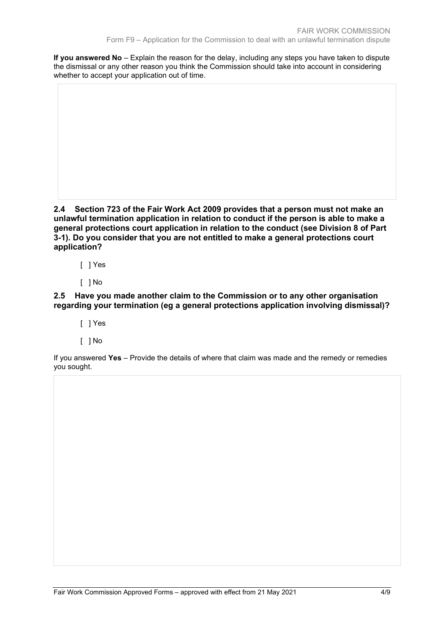**If you answered No** – Explain the reason for the delay, including any steps you have taken to dispute the dismissal or any other reason you think the Commission should take into account in considering whether to accept your application out of time.

**2.4 Section 723 of the Fair Work Act 2009 provides that a person must not make an unlawful termination application in relation to conduct if the person is able to make a general protections court application in relation to the conduct (see Division 8 of Part 3-1). Do you consider that you are not entitled to make a general protections court application?**

- [ ] Yes
- [ ] No

**2.5 Have you made another claim to the Commission or to any other organisation regarding your termination (eg a general protections application involving dismissal)?**

- [ ] Yes
- [ ] No

If you answered **Yes** – Provide the details of where that claim was made and the remedy or remedies you sought.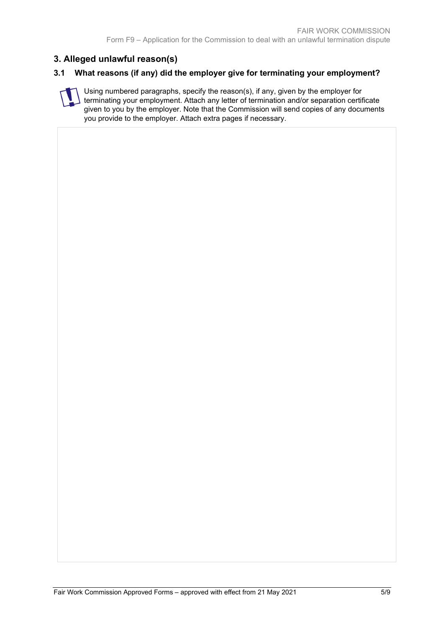# **3. Alleged unlawful reason(s)**

## **3.1 What reasons (if any) did the employer give for terminating your employment?**

Using numbered paragraphs, specify the reason(s), if any, given by the employer for terminating your employment. Attach any letter of termination and/or separation certificate given to you by the employer. Note that the Commission will send copies of any documents you provide to the employer. Attach extra pages if necessary.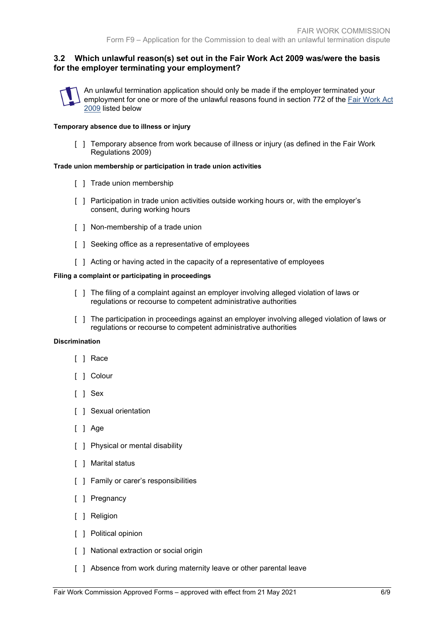## **3.2 Which unlawful reason(s) set out in the Fair Work Act 2009 was/were the basis for the employer terminating your employment?**



An unlawful termination application should only be made if the employer terminated your employment for one or more of the unlawful reasons found in section 772 of the [Fair Work Act](https://www.legislation.gov.au/Series/C2009A00028)  [2009](https://www.legislation.gov.au/Series/C2009A00028) listed below

#### **Temporary absence due to illness or injury**

[ ] Temporary absence from work because of illness or injury (as defined in the Fair Work Regulations 2009)

#### **Trade union membership or participation in trade union activities**

- [ ] Trade union membership
- [ ] Participation in trade union activities outside working hours or, with the employer's consent, during working hours
- [ ] Non-membership of a trade union
- [  $\vert$  ] Seeking office as a representative of employees
- [ ] Acting or having acted in the capacity of a representative of employees

#### **Filing a complaint or participating in proceedings**

- [ ] The filing of a complaint against an employer involving alleged violation of laws or regulations or recourse to competent administrative authorities
- [ ] The participation in proceedings against an employer involving alleged violation of laws or regulations or recourse to competent administrative authorities

#### **Discrimination**

- [ ] Race
- [ ] Colour
- [ ] Sex
- [ ] Sexual orientation
- [ ] Age
- [ ] Physical or mental disability
- [ ] Marital status
- [ ] Family or carer's responsibilities
- [ ] Pregnancy
- [ ] Religion
- [ ] Political opinion
- [ ] National extraction or social origin
- [ ] Absence from work during maternity leave or other parental leave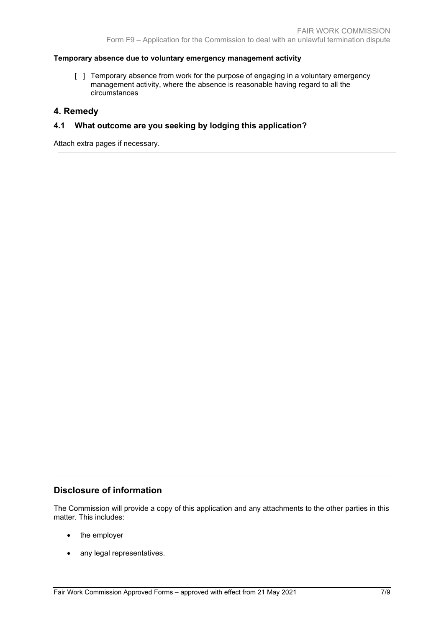#### **Temporary absence due to voluntary emergency management activity**

[ ] Temporary absence from work for the purpose of engaging in a voluntary emergency management activity, where the absence is reasonable having regard to all the circumstances

## **4. Remedy**

## **4.1 What outcome are you seeking by lodging this application?**

Attach extra pages if necessary.

## **Disclosure of information**

The Commission will provide a copy of this application and any attachments to the other parties in this matter. This includes:

- the employer
- any legal representatives.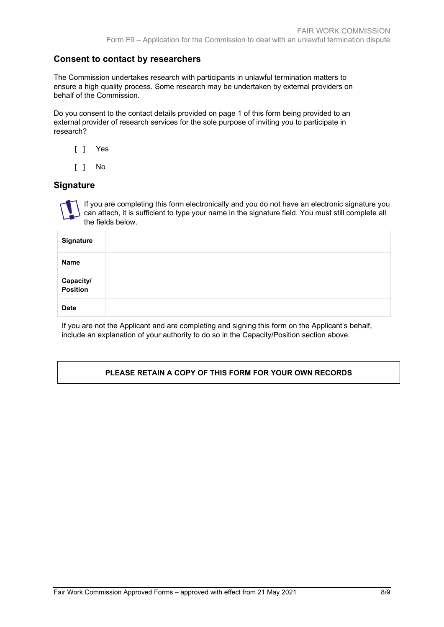# **Consent to contact by researchers**

The Commission undertakes research with participants in unlawful termination matters to ensure a high quality process. Some research may be undertaken by external providers on behalf of the Commission.

Do you consent to the contact details provided on page 1 of this form being provided to an external provider of research services for the sole purpose of inviting you to participate in research?

- [ ] Yes
- [ ] No

## **Signature**



If you are completing this form electronically and you do not have an electronic signature you can attach, it is sufficient to type your name in the signature field. You must still complete all the fields below.

| <b>Signature</b>      |  |
|-----------------------|--|
| Name                  |  |
| Capacity/<br>Position |  |
| <b>Date</b>           |  |

If you are not the Applicant and are completing and signing this form on the Applicant's behalf, include an explanation of your authority to do so in the Capacity/Position section above.

## **PLEASE RETAIN A COPY OF THIS FORM FOR YOUR OWN RECORDS**